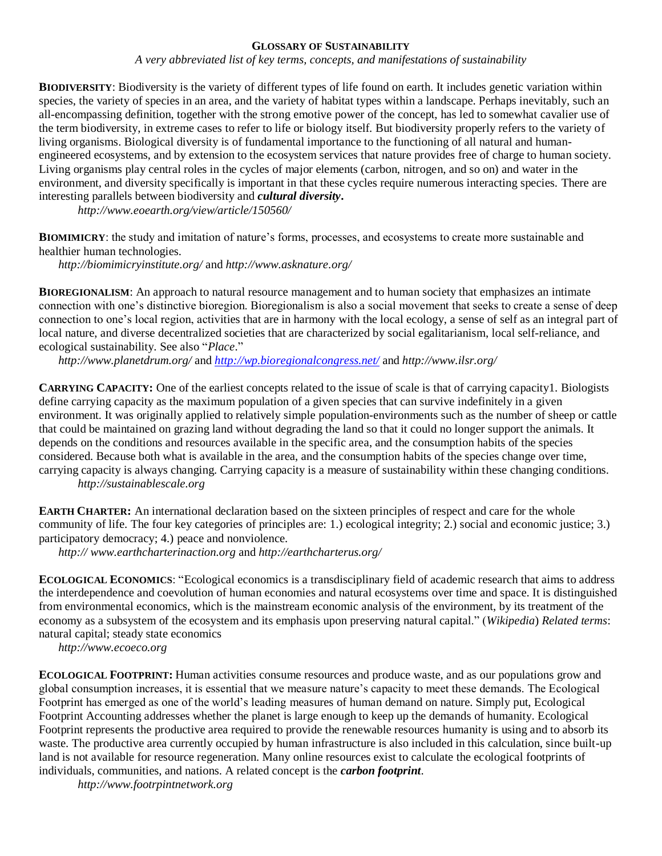## **GLOSSARY OF SUSTAINABILITY**

*A very abbreviated list of key terms, concepts, and manifestations of sustainability*

**BIODIVERSITY**: Biodiversity is the variety of different types of life found on earth. It includes genetic variation within species, the variety of species in an area, and the variety of habitat types within a landscape. Perhaps inevitably, such an all-encompassing definition, together with the strong emotive power of the concept, has led to somewhat cavalier use of the term biodiversity, in extreme cases to refer to life or biology itself. But biodiversity properly refers to the variety of living organisms. Biological diversity is of fundamental importance to the functioning of all natural and humanengineered ecosystems, and by extension to the ecosystem services that nature provides free of charge to human society. Living organisms play central roles in the cycles of major elements (carbon, nitrogen, and so on) and water in the environment, and diversity specifically is important in that these cycles require numerous interacting species. There are interesting parallels between biodiversity and *cultural diversity***.**

*http://www.eoearth.org/view/article/150560/*

**BIOMIMICRY**: the study and imitation of nature's forms, processes, and ecosystems to create more sustainable and healthier human technologies.

*<http://biomimicryinstitute.org/>* and *http://www.asknature.org/*

**BIOREGIONALISM**: An approach to natural resource management and to human society that emphasizes an intimate connection with one's distinctive bioregion. Bioregionalism is also a social movement that seeks to create a sense of deep connection to one's local region, activities that are in harmony with the local ecology, a sense of self as an integral part of local nature, and diverse decentralized societies that are characterized by social egalitarianism, local self-reliance, and ecological sustainability. See also "*Place*."

*<http://www.planetdrum.org/>* and *<http://wp.bioregionalcongress.net/>* and *<http://www.ilsr.org/>*

**CARRYING CAPACITY:** One of the earliest concepts related to the issue of scale is that of carrying capacity1. Biologists define carrying capacity as the maximum population of a given species that can survive indefinitely in a given environment. It was originally applied to relatively simple population-environments such as the number of sheep or cattle that could be maintained on grazing land without degrading the land so that it could no longer support the animals. It depends on the conditions and resources available in the specific area, and the consumption habits of the species considered. Because both what is available in the area, and the consumption habits of the species change over time, carrying capacity is always changing. Carrying capacity is a measure of sustainability within these changing conditions.

*http://sustainablescale.org*

**EARTH CHARTER:** An international declaration based on the sixteen principles of respect and care for the whole community of life. The four key categories of principles are: 1.) ecological integrity; 2.) social and economic justice; 3.) participatory democracy; 4.) peace and nonviolence.

*http:// [www.earthcharterinaction.org](http://www.earthcharterinaction.org/)* and *<http://earthcharterus.org/>*

**ECOLOGICAL ECONOMICS**: "Ecological economics is a [transdisciplinary](http://en.wikipedia.org/wiki/Transdisciplinary) field of academic research that aims to address the interdependence and [coevolution](http://en.wikipedia.org/wiki/Coevolution) of human [economies](http://en.wikipedia.org/wiki/Economy) and natural [ecosystems](http://en.wikipedia.org/wiki/Ecosystem) over time and space. It is distinguished from [environmental economics,](http://en.wikipedia.org/wiki/Environmental_economics) which is the [mainstream economic](http://en.wikipedia.org/wiki/Mainstream_economics) analysis of the environment, by its treatment of the economy as a subsystem of the ecosystem and its emphasis upon preserving [natural capital.](http://en.wikipedia.org/wiki/Natural_capital)" (*Wikipedia*) *Related terms*: natural capital; steady state economics

*http://www.ecoeco.org*

**ECOLOGICAL FOOTPRINT:** Human activities consume resources and produce waste, and as our populations grow and global consumption increases, it is essential that we measure nature's capacity to meet these demands. The Ecological Footprint has emerged as one of the world's leading measures of human demand on nature. Simply put, Ecological Footprint Accounting addresses whether the planet is large enough to keep up the demands of humanity. Ecological Footprint represents the productive area required to provide the renewable resources humanity is using and to absorb its waste. The productive area currently occupied by human infrastructure is also included in this calculation, since built-up land is not available for resource regeneration. Many online resources exist to calculate the ecological footprints of individuals, communities, and nations. A related concept is the *carbon footprint*.

*http://www.footrpintnetwork.org*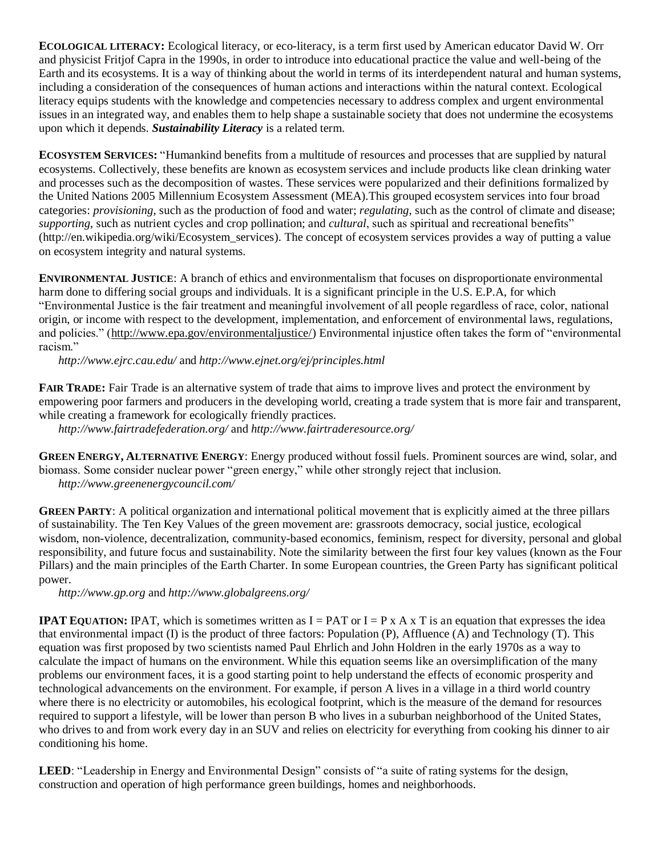**ECOLOGICAL LITERACY:** Ecological literacy, or eco-literacy, is a term first used by American educator David W. Orr and physicist Fritjof Capra in the 1990s, in order to introduce into educational practice the value and well-being of the Earth and its ecosystems. It is a way of thinking about the world in terms of its interdependent natural and human systems, including a consideration of the consequences of human actions and interactions within the natural context. Ecological literacy equips students with the knowledge and competencies necessary to address complex and urgent environmental issues in an integrated way, and enables them to help shape a sustainable society that does not undermine the ecosystems upon which it depends. *Sustainability Literacy* is a related term.

**ECOSYSTEM SERVICES:** "Humankind benefits from a multitude of resources and processes that are supplied by natural ecosystems. Collectively, these benefits are known as ecosystem services and include products like clean drinking water and processes such as the decomposition of wastes. These services were popularized and their definitions formalized by the United Nations 2005 Millennium Ecosystem Assessment (MEA).This grouped ecosystem services into four broad categories: *provisioning*, such as the production of food and water; *regulating*, such as the control of climate and disease; *supporting*, such as nutrient cycles and crop pollination; and *cultural*, such as spiritual and recreational benefits" (http://en.wikipedia.org/wiki/Ecosystem\_services). The concept of ecosystem services provides a way of putting a value on ecosystem integrity and natural systems.

**ENVIRONMENTAL JUSTICE**: A branch of ethics and environmentalism that focuses on disproportionate environmental harm done to differing social groups and individuals. It is a significant principle in the U.S. E.P.A, for which "Environmental Justice is the fair treatment and meaningful involvement of all people regardless of race, color, national origin, or income with respect to the development, implementation, and enforcement of environmental laws, regulations, and policies." [\(http://www.epa.gov/environmentaljustice/\)](http://www.epa.gov/environmentaljustice/) Environmental injustice often takes the form of "environmental racism."

*<http://www.ejrc.cau.edu/>* and *http://www.ejnet.org/ej/principles.html*

**FAIR TRADE:** Fair Trade is an alternative system of trade that aims to improve lives and protect the environment by empowering poor farmers and producers in the developing world, creating a trade system that is more fair and transparent, while creating a framework for ecologically friendly practices.

*<http://www.fairtradefederation.org/>* and *<http://www.fairtraderesource.org/>*

**GREEN ENERGY, ALTERNATIVE ENERGY**: Energy produced without fossil fuels. Prominent sources are wind, solar, and biomass. Some consider nuclear power "green energy," while other strongly reject that inclusion. *<http://www.greenenergycouncil.com/>*

**GREEN PARTY**: A political organization and international political movement that is explicitly aimed at the three pillars of sustainability. The Ten Key Values of the green movement are: grassroots democracy, social justice, ecological wisdom, non-violence, decentralization, community-based economics, feminism, respect for diversity, personal and global responsibility, and future focus and sustainability. Note the similarity between the first four key values (known as the Four Pillars) and the main principles of the Earth Charter. In some European countries, the Green Party has significant political power.

*http:/[/www.gp.org](http://www.gp.org/)* and *http://www.globalgreens.org/*

**IPAT EQUATION:** IPAT, which is sometimes written as  $I = PAT$  or  $I = P \times A \times T$  is an equation that expresses the idea that environmental impact (I) is the product of three factors: Population (P), Affluence (A) and Technology (T). This equation was first proposed by two scientists named Paul Ehrlich and John Holdren in the early 1970s as a way to calculate the impact of humans on the environment. While this equation seems like an oversimplification of the many problems our environment faces, it is a good starting point to help understand the effects of economic prosperity and technological advancements on the environment. For example, if person A lives in a village in a third world country where there is no electricity or automobiles, his ecological footprint, which is the measure of the demand for resources required to support a lifestyle, will be lower than person B who lives in a suburban neighborhood of the United States, who drives to and from work every day in an SUV and relies on electricity for everything from cooking his dinner to air conditioning his home.

**LEED**: "Leadership in Energy and Environmental Design" consists of "a suite of rating systems for the design, construction and operation of high performance [green buildings,](http://en.wikipedia.org/wiki/Green_building) homes and neighborhoods.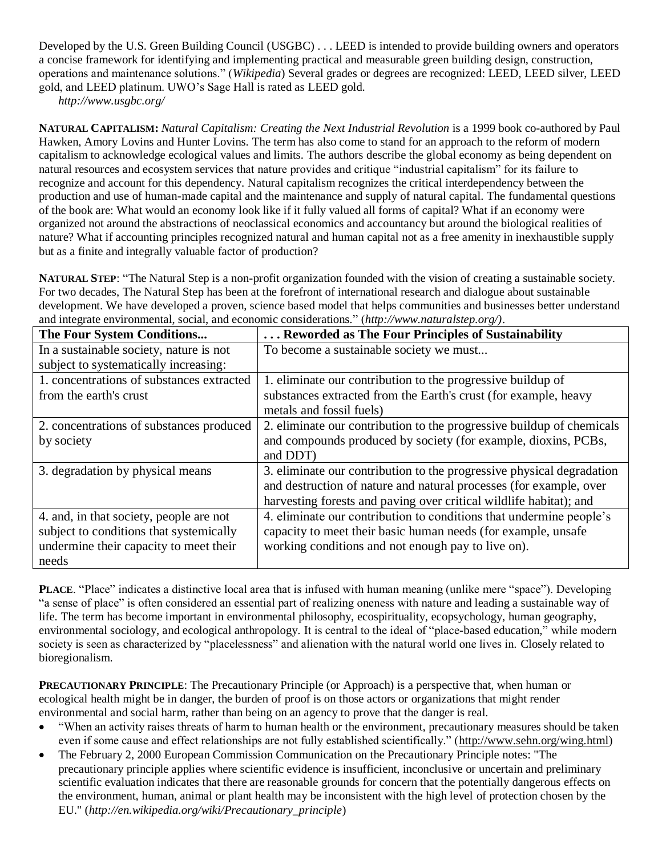Developed by the [U.S. Green Building Council](http://en.wikipedia.org/wiki/U.S._Green_Building_Council) (USGBC) . . . LEED is intended to provide building owners and operators a concise framework for identifying and implementing practical and measurable green building design, construction, operations and maintenance solutions." (*Wikipedia*) Several grades or degrees are recognized: LEED, LEED silver, LEED gold, and LEED platinum. UWO's Sage Hall is rated as LEED gold.

*<http://www.usgbc.org/>*

**NATURAL CAPITALISM:** *Natural Capitalism: Creating the Next Industrial Revolution* is a 1999 book co-authored by Paul Hawken, Amory Lovins and Hunter Lovins. The term has also come to stand for an approach to the reform of modern capitalism to acknowledge ecological values and limits. The authors describe the global economy as being dependent on natural resources and ecosystem services that nature provides and critique "industrial capitalism" for its failure to recognize and account for this dependency. Natural capitalism recognizes the critical interdependency between the production and use of human-made capital and the maintenance and supply of natural capital. The fundamental questions of the book are: What would an economy look like if it fully valued all forms of capital? What if an economy were organized not around the abstractions of neoclassical economics and accountancy but around the biological realities of nature? What if accounting principles recognized natural and human capital not as a free amenity in inexhaustible supply but as a finite and integrally valuable factor of production?

**NATURAL STEP**: "The Natural Step is a non-profit organization founded with the vision of creating a sustainable society. For two decades, The Natural Step has been at the forefront of international research and dialogue about sustainable development. We have developed a proven, science based model that helps communities and businesses better understand and integrate environmental, social, and economic considerations." (*[http://www.naturalstep.org/\)](http://www.naturalstep.org/)*.

| The Four System Conditions                | Reworded as The Four Principles of Sustainability                     |
|-------------------------------------------|-----------------------------------------------------------------------|
| In a sustainable society, nature is not   | To become a sustainable society we must                               |
| subject to systematically increasing:     |                                                                       |
| 1. concentrations of substances extracted | 1. eliminate our contribution to the progressive buildup of           |
| from the earth's crust                    | substances extracted from the Earth's crust (for example, heavy       |
|                                           | metals and fossil fuels)                                              |
| 2. concentrations of substances produced  | 2. eliminate our contribution to the progressive buildup of chemicals |
| by society                                | and compounds produced by society (for example, dioxins, PCBs,        |
|                                           | and DDT)                                                              |
| 3. degradation by physical means          | 3. eliminate our contribution to the progressive physical degradation |
|                                           | and destruction of nature and natural processes (for example, over    |
|                                           | harvesting forests and paving over critical wildlife habitat); and    |
| 4. and, in that society, people are not   | 4. eliminate our contribution to conditions that undermine people's   |
| subject to conditions that systemically   | capacity to meet their basic human needs (for example, unsafe         |
| undermine their capacity to meet their    | working conditions and not enough pay to live on).                    |
| needs                                     |                                                                       |

**PLACE**. "Place" indicates a distinctive local area that is infused with human meaning (unlike mere "space"). Developing "a sense of place" is often considered an essential part of realizing oneness with nature and leading a sustainable way of life. The term has become important in environmental philosophy, ecospirituality, ecopsychology, human geography, environmental sociology, and ecological anthropology. It is central to the ideal of "place-based education," while modern society is seen as characterized by "placelessness" and alienation with the natural world one lives in. Closely related to bioregionalism.

**PRECAUTIONARY PRINCIPLE**: The Precautionary Principle (or Approach) is a perspective that, when human or ecological health might be in danger, the burden of proof is on those actors or organizations that might render environmental and social harm, rather than being on an agency to prove that the danger is real.

- "When an activity raises threats of harm to human health or the environment, precautionary measures should be taken even if some cause and effect relationships are not fully established scientifically." [\(http://www.sehn.org/wing.html\)](http://www.sehn.org/wing.html)
- The February 2, 2000 European Commission Communication on the Precautionary Principle notes: "The precautionary principle applies where scientific evidence is insufficient, inconclusive or uncertain and preliminary scientific evaluation indicates that there are reasonable grounds for concern that the potentially dangerous effects on the environment, human, animal or plant health may be inconsistent with the high level of protection chosen by the EU." (*[http://en.wikipedia.org/wiki/Precautionary\\_principle](http://en.wikipedia.org/wiki/Precautionary_principle)*)